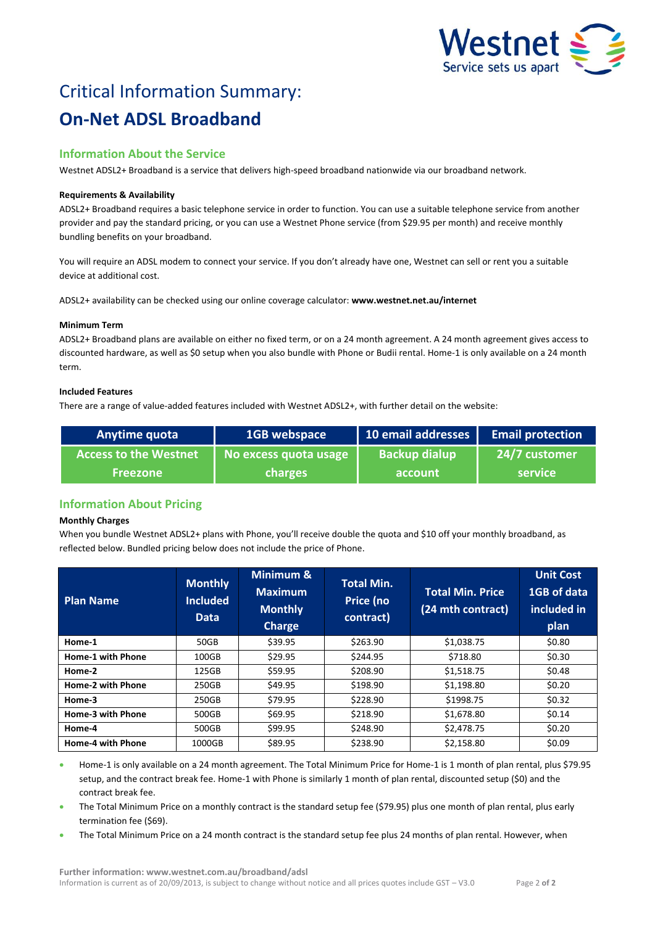

# Critical Information Summary: **On-Net ADSL Broadband**

# **Information About the Service**

Westnet ADSL2+ Broadband is a service that delivers high-speed broadband nationwide via our broadband network.

### **Requirements & Availability**

ADSL2+ Broadband requires a basic telephone service in order to function. You can use a suitable telephone service from another provider and pay the standard pricing, or you can use a Westnet Phone service (from \$29.95 per month) and receive monthly bundling benefits on your broadband.

You will require an ADSL modem to connect your service. If you don't already have one, Westnet can sell or rent you a suitable device at additional cost.

ADSL2+ availability can be checked using our online coverage calculator: **www.westnet.net.au/internet**

## **Minimum Term**

ADSL2+ Broadband plans are available on either no fixed term, or on a 24 month agreement. A 24 month agreement gives access to discounted hardware, as well as \$0 setup when you also bundle with Phone or Budii rental. Home-1 is only available on a 24 month term.

# **Included Features**

There are a range of value-added features included with Westnet ADSL2+, with further detail on the website:

| Anytime quota                | 1GB webspace          | 10 email addresses   | <b>Email protection</b> |
|------------------------------|-----------------------|----------------------|-------------------------|
| <b>Access to the Westnet</b> | No excess quota usage | <b>Backup dialup</b> | 24/7 customer           |
| <b>Freezone</b>              | charges               | account              | service <b>l</b>        |

# **Information About Pricing**

# **Monthly Charges**

When you bundle Westnet ADSL2+ plans with Phone, you'll receive double the quota and \$10 off your monthly broadband, as reflected below. Bundled pricing below does not include the price of Phone.

| <b>Plan Name</b>         | <b>Monthly</b><br><b>Included</b><br><b>Data</b> | Minimum &<br><b>Maximum</b><br><b>Monthly</b><br><b>Charge</b> | <b>Total Min.</b><br>Price (no<br>contract) | <b>Total Min. Price</b><br>(24 mth contract) | <b>Unit Cost</b><br>1GB of data<br>included in<br>plan |
|--------------------------|--------------------------------------------------|----------------------------------------------------------------|---------------------------------------------|----------------------------------------------|--------------------------------------------------------|
| Home-1                   | 50GB                                             | \$39.95                                                        | \$263.90                                    | \$1,038.75                                   | \$0.80                                                 |
| Home-1 with Phone        | 100GB                                            | \$29.95                                                        | \$244.95                                    | \$718.80                                     | \$0.30                                                 |
| Home-2                   | 125GB                                            | \$59.95                                                        | \$208.90                                    | \$1,518.75                                   | \$0.48                                                 |
| Home-2 with Phone        | 250GB                                            | \$49.95                                                        | \$198.90                                    | \$1,198.80                                   | \$0.20                                                 |
| Home-3                   | 250GB                                            | \$79.95                                                        | \$228.90                                    | \$1998.75                                    | \$0.32                                                 |
| Home-3 with Phone        | 500GB                                            | \$69.95                                                        | \$218.90                                    | \$1,678.80                                   | \$0.14                                                 |
| Home-4                   | 500GB                                            | \$99.95                                                        | \$248.90                                    | \$2,478.75                                   | \$0.20                                                 |
| <b>Home-4 with Phone</b> | 1000GB                                           | \$89.95                                                        | \$238.90                                    | \$2,158.80                                   | \$0.09                                                 |

- Home-1 is only available on a 24 month agreement. The Total Minimum Price for Home-1 is 1 month of plan rental, plus \$79.95 setup, and the contract break fee. Home-1 with Phone is similarly 1 month of plan rental, discounted setup (\$0) and the contract break fee.
- The Total Minimum Price on a monthly contract is the standard setup fee (\$79.95) plus one month of plan rental, plus early termination fee (\$69).
- The Total Minimum Price on a 24 month contract is the standard setup fee plus 24 months of plan rental. However, when